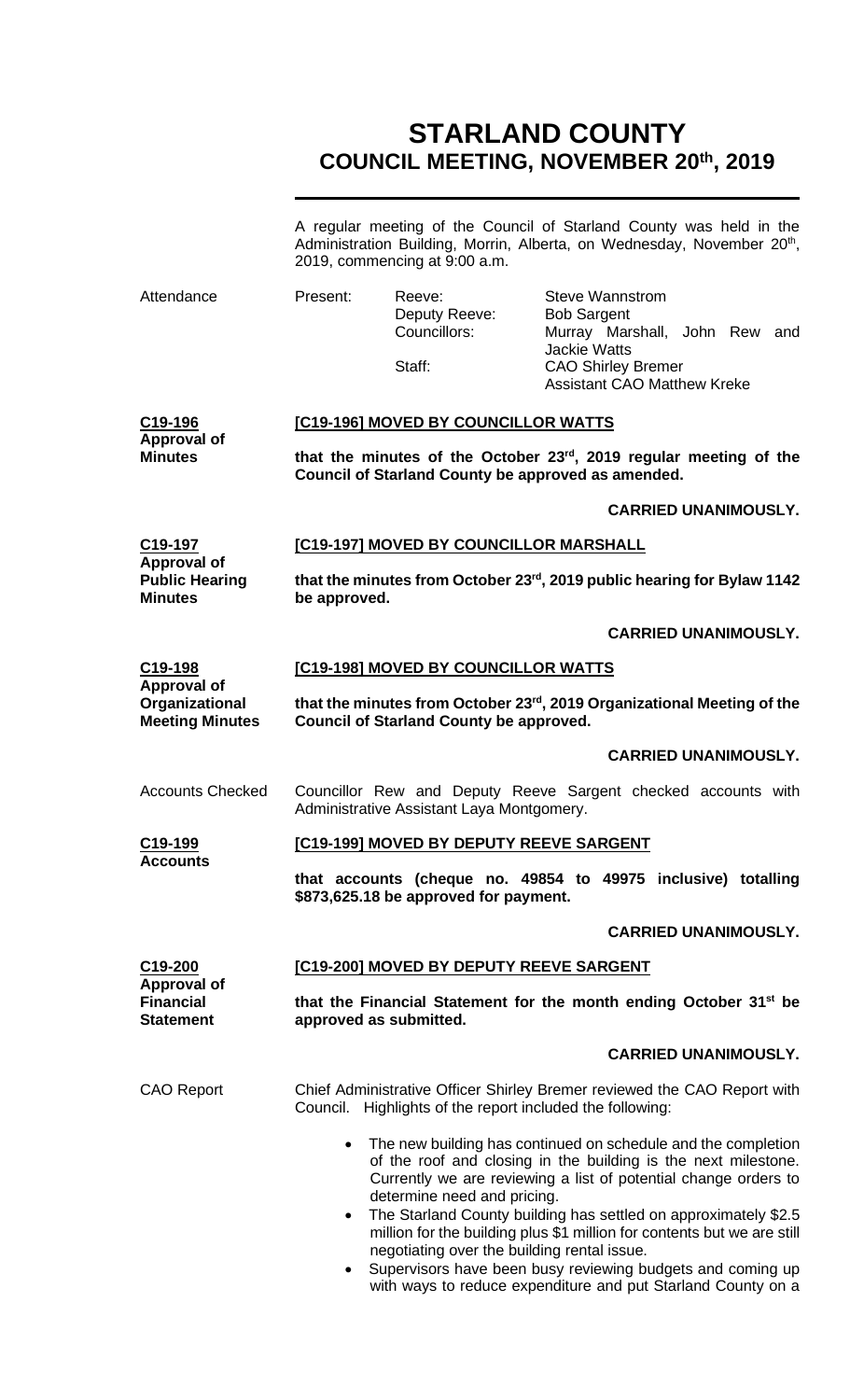# **STARLAND COUNTY COUNCIL MEETING, NOVEMBER 20th, 2019**

|                                                                |                                                                                                                          | 2019, commencing at 9:00 a.m.                                              | A regular meeting of the Council of Starland County was held in the<br>Administration Building, Morrin, Alberta, on Wednesday, November 20 <sup>th</sup> ,                                                                                                                                                                                         |  |
|----------------------------------------------------------------|--------------------------------------------------------------------------------------------------------------------------|----------------------------------------------------------------------------|----------------------------------------------------------------------------------------------------------------------------------------------------------------------------------------------------------------------------------------------------------------------------------------------------------------------------------------------------|--|
| Attendance                                                     | Present:                                                                                                                 | Reeve:<br>Deputy Reeve:<br>Councillors:<br>Staff:                          | <b>Steve Wannstrom</b><br><b>Bob Sargent</b><br>Murray Marshall, John Rew and<br><b>Jackie Watts</b><br><b>CAO Shirley Bremer</b><br><b>Assistant CAO Matthew Kreke</b>                                                                                                                                                                            |  |
| C <sub>19</sub> -196                                           | [C19-196] MOVED BY COUNCILLOR WATTS                                                                                      |                                                                            |                                                                                                                                                                                                                                                                                                                                                    |  |
| <b>Approval of</b><br><b>Minutes</b>                           | that the minutes of the October 23rd, 2019 regular meeting of the<br>Council of Starland County be approved as amended.  |                                                                            |                                                                                                                                                                                                                                                                                                                                                    |  |
|                                                                |                                                                                                                          |                                                                            | <b>CARRIED UNANIMOUSLY.</b>                                                                                                                                                                                                                                                                                                                        |  |
| C19-197<br>Approval of                                         |                                                                                                                          | [C19-197] MOVED BY COUNCILLOR MARSHALL                                     |                                                                                                                                                                                                                                                                                                                                                    |  |
| <b>Public Hearing</b><br><b>Minutes</b>                        | that the minutes from October 23 <sup>rd</sup> , 2019 public hearing for Bylaw 1142<br>be approved.                      |                                                                            |                                                                                                                                                                                                                                                                                                                                                    |  |
|                                                                |                                                                                                                          |                                                                            | <b>CARRIED UNANIMOUSLY.</b>                                                                                                                                                                                                                                                                                                                        |  |
| C <sub>19</sub> -198                                           | [C19-198] MOVED BY COUNCILLOR WATTS                                                                                      |                                                                            |                                                                                                                                                                                                                                                                                                                                                    |  |
| <b>Approval of</b><br>Organizational<br><b>Meeting Minutes</b> | that the minutes from October 23rd, 2019 Organizational Meeting of the<br><b>Council of Starland County be approved.</b> |                                                                            |                                                                                                                                                                                                                                                                                                                                                    |  |
|                                                                |                                                                                                                          |                                                                            | <b>CARRIED UNANIMOUSLY.</b>                                                                                                                                                                                                                                                                                                                        |  |
| <b>Accounts Checked</b>                                        |                                                                                                                          | Administrative Assistant Laya Montgomery.                                  | Councillor Rew and Deputy Reeve Sargent checked accounts with                                                                                                                                                                                                                                                                                      |  |
| <u>C19-199</u><br><b>Accounts</b>                              | <u>[C19-199] MOVED BY DEPUTY REEVE SARGENT</u>                                                                           |                                                                            |                                                                                                                                                                                                                                                                                                                                                    |  |
|                                                                | that accounts (cheque no. 49854 to 49975 inclusive) totalling<br>\$873,625.18 be approved for payment.                   |                                                                            |                                                                                                                                                                                                                                                                                                                                                    |  |
|                                                                |                                                                                                                          |                                                                            | <b>CARRIED UNANIMOUSLY.</b>                                                                                                                                                                                                                                                                                                                        |  |
| C19-200<br>Approval of                                         | [C19-200] MOVED BY DEPUTY REEVE SARGENT                                                                                  |                                                                            |                                                                                                                                                                                                                                                                                                                                                    |  |
| <b>Financial</b><br><b>Statement</b>                           | that the Financial Statement for the month ending October 31 <sup>st</sup> be<br>approved as submitted.                  |                                                                            |                                                                                                                                                                                                                                                                                                                                                    |  |
|                                                                |                                                                                                                          |                                                                            | <b>CARRIED UNANIMOUSLY.</b>                                                                                                                                                                                                                                                                                                                        |  |
| <b>CAO Report</b>                                              |                                                                                                                          | Council. Highlights of the report included the following:                  | Chief Administrative Officer Shirley Bremer reviewed the CAO Report with                                                                                                                                                                                                                                                                           |  |
|                                                                | $\bullet$                                                                                                                | determine need and pricing.<br>negotiating over the building rental issue. | • The new building has continued on schedule and the completion<br>of the roof and closing in the building is the next milestone.<br>Currently we are reviewing a list of potential change orders to<br>The Starland County building has settled on approximately \$2.5<br>million for the building plus \$1 million for contents but we are still |  |

• Supervisors have been busy reviewing budgets and coming up with ways to reduce expenditure and put Starland County on a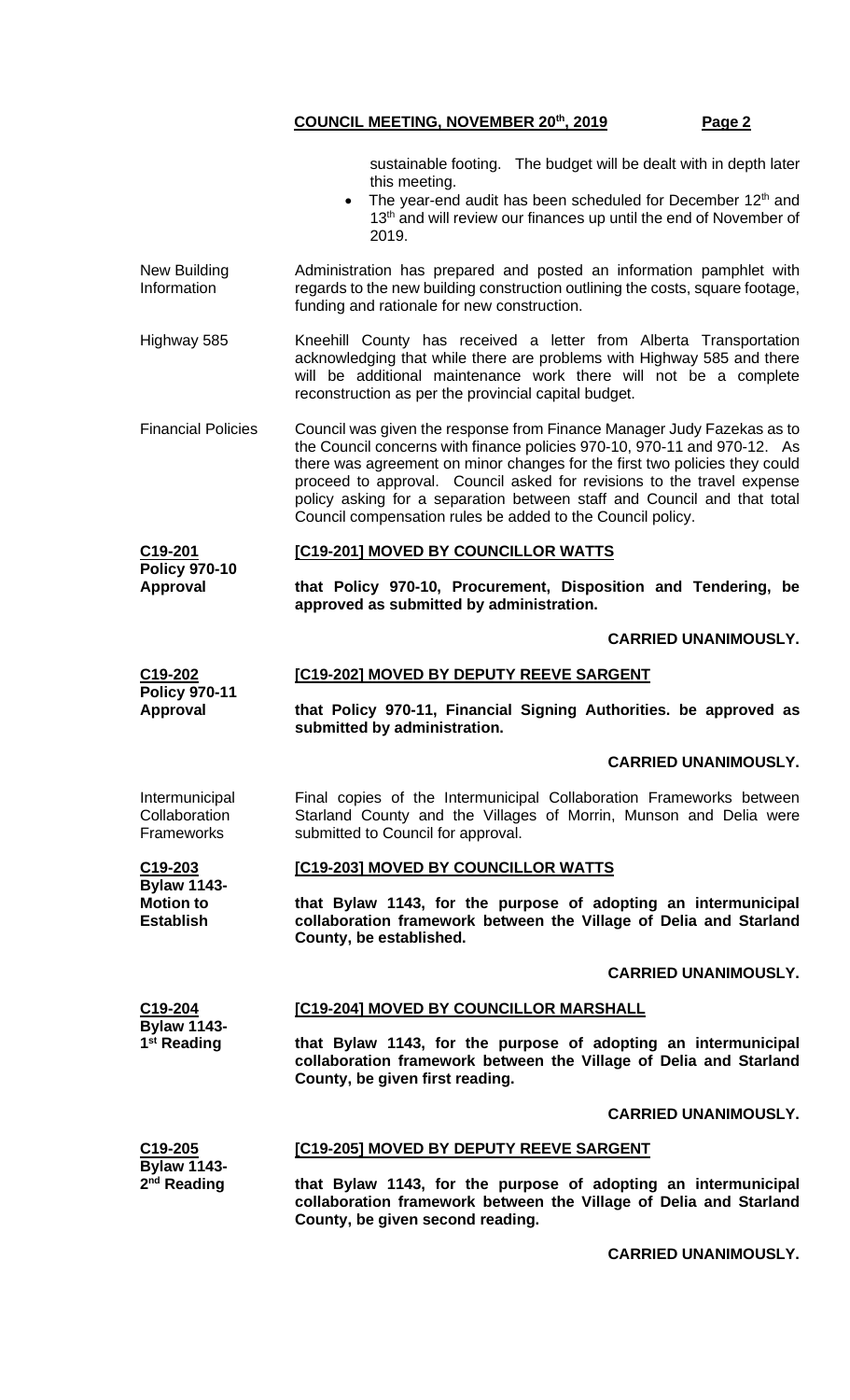sustainable footing. The budget will be dealt with in depth later this meeting.

- The year-end audit has been scheduled for December 12<sup>th</sup> and 13<sup>th</sup> and will review our finances up until the end of November of 2019.
- New Building Information Administration has prepared and posted an information pamphlet with regards to the new building construction outlining the costs, square footage, funding and rationale for new construction.
- Highway 585 Kneehill County has received a letter from Alberta Transportation acknowledging that while there are problems with Highway 585 and there will be additional maintenance work there will not be a complete reconstruction as per the provincial capital budget.
- Financial Policies Council was given the response from Finance Manager Judy Fazekas as to the Council concerns with finance policies 970-10, 970-11 and 970-12. As there was agreement on minor changes for the first two policies they could proceed to approval. Council asked for revisions to the travel expense policy asking for a separation between staff and Council and that total Council compensation rules be added to the Council policy.

#### **C19-201 Policy 970-10 [C19-201] MOVED BY COUNCILLOR WATTS**

**that Policy 970-10, Procurement, Disposition and Tendering, be approved as submitted by administration.**

#### **CARRIED UNANIMOUSLY.**

#### **C19-202 [C19-202] MOVED BY DEPUTY REEVE SARGENT**

**that Policy 970-11, Financial Signing Authorities. be approved as submitted by administration.**

#### **CARRIED UNANIMOUSLY.**

Final copies of the Intermunicipal Collaboration Frameworks between Starland County and the Villages of Morrin, Munson and Delia were submitted to Council for approval.

#### **[C19-203] MOVED BY COUNCILLOR WATTS**

**that Bylaw 1143, for the purpose of adopting an intermunicipal collaboration framework between the Village of Delia and Starland County, be established.**

#### **CARRIED UNANIMOUSLY.**

#### **C19-204 Bylaw 1143- 1 st Reading [C19-204] MOVED BY COUNCILLOR MARSHALL that Bylaw 1143, for the purpose of adopting an intermunicipal collaboration framework between the Village of Delia and Starland County, be given first reading.**

**[C19-205] MOVED BY DEPUTY REEVE SARGENT**

#### **CARRIED UNANIMOUSLY.**

#### **C19-205 Bylaw 1143- 2 nd Reading**

**Approval**

**Policy 970-11 Approval**

Intermunicipal **Collaboration Frameworks** 

**C19-203 Bylaw 1143- Motion to Establish**

> **that Bylaw 1143, for the purpose of adopting an intermunicipal collaboration framework between the Village of Delia and Starland County, be given second reading.**

#### **CARRIED UNANIMOUSLY.**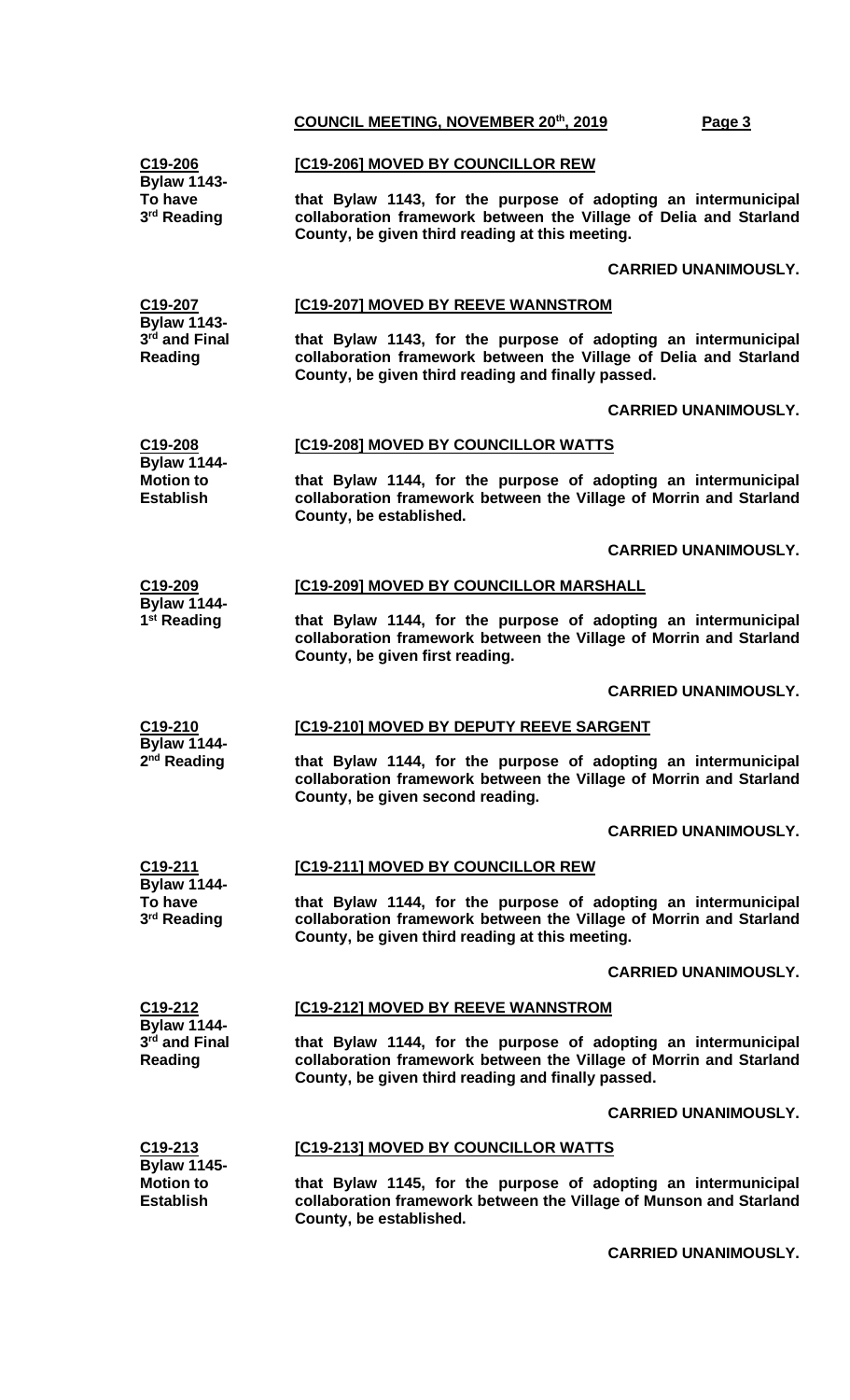| C19-206                                                    | [C19-206] MOVED BY COUNCILLOR REW                                                                                                                                                          |  |  |
|------------------------------------------------------------|--------------------------------------------------------------------------------------------------------------------------------------------------------------------------------------------|--|--|
| <b>Bylaw 1143-</b><br>To have<br>3 <sup>rd</sup> Reading   | that Bylaw 1143, for the purpose of adopting an intermunicipal<br>collaboration framework between the Village of Delia and Starland<br>County, be given third reading at this meeting.     |  |  |
|                                                            | <b>CARRIED UNANIMOUSLY.</b>                                                                                                                                                                |  |  |
| C19-207                                                    | [C19-207] MOVED BY REEVE WANNSTROM                                                                                                                                                         |  |  |
| <b>Bylaw 1143-</b><br>3rd and Final<br>Reading             | that Bylaw 1143, for the purpose of adopting an intermunicipal<br>collaboration framework between the Village of Delia and Starland<br>County, be given third reading and finally passed.  |  |  |
|                                                            | <b>CARRIED UNANIMOUSLY.</b>                                                                                                                                                                |  |  |
| C19-208                                                    | [C19-208] MOVED BY COUNCILLOR WATTS                                                                                                                                                        |  |  |
| <b>Bylaw 1144-</b><br><b>Motion to</b><br><b>Establish</b> | that Bylaw 1144, for the purpose of adopting an intermunicipal<br>collaboration framework between the Village of Morrin and Starland<br>County, be established.                            |  |  |
|                                                            | <b>CARRIED UNANIMOUSLY.</b>                                                                                                                                                                |  |  |
| C19-209                                                    | [C19-209] MOVED BY COUNCILLOR MARSHALL                                                                                                                                                     |  |  |
| <b>Bylaw 1144-</b><br>1 <sup>st</sup> Reading              | that Bylaw 1144, for the purpose of adopting an intermunicipal<br>collaboration framework between the Village of Morrin and Starland<br>County, be given first reading.                    |  |  |
|                                                            | <b>CARRIED UNANIMOUSLY.</b>                                                                                                                                                                |  |  |
| C19-210                                                    | [C19-210] MOVED BY DEPUTY REEVE SARGENT                                                                                                                                                    |  |  |
| <b>Bylaw 1144-</b><br>2 <sup>nd</sup> Reading              | that Bylaw 1144, for the purpose of adopting an intermunicipal<br>collaboration framework between the Village of Morrin and Starland<br>County, be given second reading.                   |  |  |
|                                                            | <b>CARRIED UNANIMOUSLY.</b>                                                                                                                                                                |  |  |
| C19-211                                                    | [C19-211] MOVED BY COUNCILLOR REW                                                                                                                                                          |  |  |
| <b>Bylaw 1144-</b><br>To have<br>3 <sup>rd</sup> Reading   | that Bylaw 1144, for the purpose of adopting an intermunicipal<br>collaboration framework between the Village of Morrin and Starland<br>County, be given third reading at this meeting.    |  |  |
|                                                            | <b>CARRIED UNANIMOUSLY.</b>                                                                                                                                                                |  |  |
| C <sub>19</sub> -212                                       | [C19-212] MOVED BY REEVE WANNSTROM                                                                                                                                                         |  |  |
| <b>Bylaw 1144-</b><br>3rd and Final<br>Reading             | that Bylaw 1144, for the purpose of adopting an intermunicipal<br>collaboration framework between the Village of Morrin and Starland<br>County, be given third reading and finally passed. |  |  |
|                                                            | <b>CARRIED UNANIMOUSLY.</b>                                                                                                                                                                |  |  |
| C <sub>19</sub> -213                                       | [C19-213] MOVED BY COUNCILLOR WATTS                                                                                                                                                        |  |  |
| <b>Bylaw 1145-</b><br><b>Motion to</b><br><b>Establish</b> | that Bylaw 1145, for the purpose of adopting an intermunicipal<br>collaboration framework between the Village of Munson and Starland<br>County, be established.                            |  |  |

**CARRIED UNANIMOUSLY.**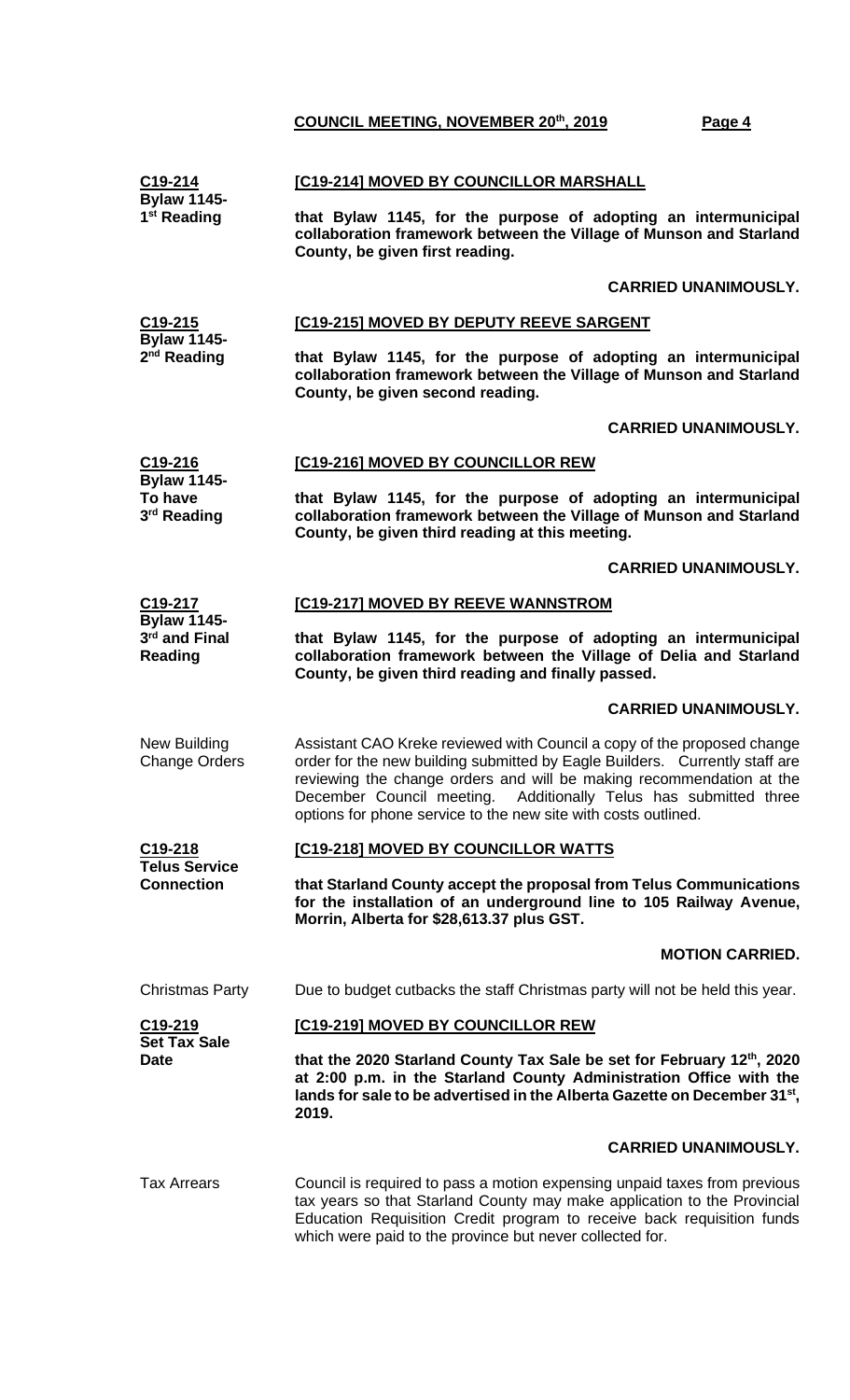| C <sub>19</sub> -214<br><b>Bylaw 1145-</b>                 | [C19-214] MOVED BY COUNCILLOR MARSHALL                                                                                                                                                                                                                                                                                                                               |  |  |
|------------------------------------------------------------|----------------------------------------------------------------------------------------------------------------------------------------------------------------------------------------------------------------------------------------------------------------------------------------------------------------------------------------------------------------------|--|--|
| 1 <sup>st</sup> Reading                                    | that Bylaw 1145, for the purpose of adopting an intermunicipal<br>collaboration framework between the Village of Munson and Starland<br>County, be given first reading.                                                                                                                                                                                              |  |  |
|                                                            | <b>CARRIED UNANIMOUSLY.</b>                                                                                                                                                                                                                                                                                                                                          |  |  |
| C19-215                                                    | [C19-215] MOVED BY DEPUTY REEVE SARGENT                                                                                                                                                                                                                                                                                                                              |  |  |
| <b>Bylaw 1145-</b><br>2 <sup>nd</sup> Reading              | that Bylaw 1145, for the purpose of adopting an intermunicipal<br>collaboration framework between the Village of Munson and Starland<br>County, be given second reading.                                                                                                                                                                                             |  |  |
|                                                            | <b>CARRIED UNANIMOUSLY.</b>                                                                                                                                                                                                                                                                                                                                          |  |  |
| C19-216<br><b>Bylaw 1145-</b>                              | [C19-216] MOVED BY COUNCILLOR REW                                                                                                                                                                                                                                                                                                                                    |  |  |
| To have<br>3rd Reading                                     | that Bylaw 1145, for the purpose of adopting an intermunicipal<br>collaboration framework between the Village of Munson and Starland<br>County, be given third reading at this meeting.                                                                                                                                                                              |  |  |
|                                                            | <b>CARRIED UNANIMOUSLY.</b>                                                                                                                                                                                                                                                                                                                                          |  |  |
| C19-217                                                    | [C19-217] MOVED BY REEVE WANNSTROM                                                                                                                                                                                                                                                                                                                                   |  |  |
| <b>Bylaw 1145-</b><br>3rd and Final<br><b>Reading</b>      | that Bylaw 1145, for the purpose of adopting an intermunicipal<br>collaboration framework between the Village of Delia and Starland<br>County, be given third reading and finally passed.                                                                                                                                                                            |  |  |
|                                                            | <b>CARRIED UNANIMOUSLY.</b>                                                                                                                                                                                                                                                                                                                                          |  |  |
| New Building<br><b>Change Orders</b>                       | Assistant CAO Kreke reviewed with Council a copy of the proposed change<br>order for the new building submitted by Eagle Builders. Currently staff are<br>reviewing the change orders and will be making recommendation at the<br>December Council meeting. Additionally Telus has submitted three<br>options for phone service to the new site with costs outlined. |  |  |
| C19-218<br><b>Telus Service</b><br><b>Connection</b>       | [C19-218] MOVED BY COUNCILLOR WATTS                                                                                                                                                                                                                                                                                                                                  |  |  |
|                                                            | that Starland County accept the proposal from Telus Communications<br>for the installation of an underground line to 105 Railway Avenue,<br>Morrin, Alberta for \$28,613.37 plus GST.                                                                                                                                                                                |  |  |
|                                                            | <b>MOTION CARRIED.</b>                                                                                                                                                                                                                                                                                                                                               |  |  |
| <b>Christmas Party</b>                                     | Due to budget cutbacks the staff Christmas party will not be held this year.                                                                                                                                                                                                                                                                                         |  |  |
| C <sub>19</sub> -219<br><b>Set Tax Sale</b><br><b>Date</b> | [C19-219] MOVED BY COUNCILLOR REW                                                                                                                                                                                                                                                                                                                                    |  |  |
|                                                            | that the 2020 Starland County Tax Sale be set for February 12th, 2020<br>at 2:00 p.m. in the Starland County Administration Office with the<br>lands for sale to be advertised in the Alberta Gazette on December 31st,<br>2019.                                                                                                                                     |  |  |
|                                                            | <b>CARRIED UNANIMOUSLY.</b>                                                                                                                                                                                                                                                                                                                                          |  |  |
| <b>Tax Arrears</b>                                         | Council is required to pass a motion expensing unpaid taxes from previous<br>tax years so that Starland County may make application to the Provincial<br>Education Requisition Credit program to receive back requisition funds<br>which were paid to the province but never collected for.                                                                          |  |  |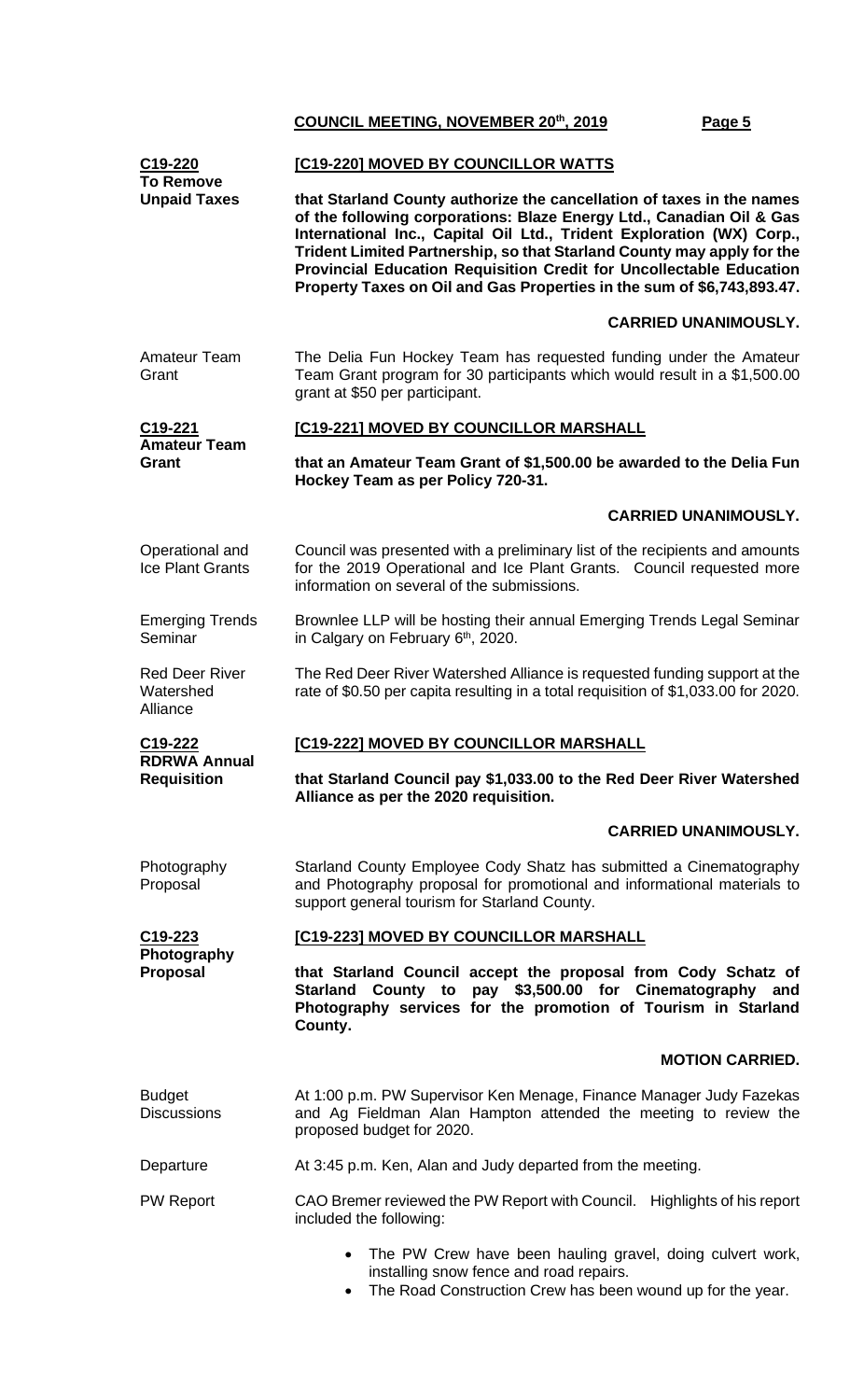| C19-220<br><b>To Remove</b>                    | [C19-220] MOVED BY COUNCILLOR WATTS                                                                                                                                                                                                                                                                                                                                                                                                               |  |  |
|------------------------------------------------|---------------------------------------------------------------------------------------------------------------------------------------------------------------------------------------------------------------------------------------------------------------------------------------------------------------------------------------------------------------------------------------------------------------------------------------------------|--|--|
| <b>Unpaid Taxes</b>                            | that Starland County authorize the cancellation of taxes in the names<br>of the following corporations: Blaze Energy Ltd., Canadian Oil & Gas<br>International Inc., Capital Oil Ltd., Trident Exploration (WX) Corp.,<br>Trident Limited Partnership, so that Starland County may apply for the<br>Provincial Education Requisition Credit for Uncollectable Education<br>Property Taxes on Oil and Gas Properties in the sum of \$6,743,893.47. |  |  |
|                                                | <b>CARRIED UNANIMOUSLY.</b>                                                                                                                                                                                                                                                                                                                                                                                                                       |  |  |
| <b>Amateur Team</b><br>Grant                   | The Delia Fun Hockey Team has requested funding under the Amateur<br>Team Grant program for 30 participants which would result in a \$1,500.00<br>grant at \$50 per participant.                                                                                                                                                                                                                                                                  |  |  |
| $C19-221$<br><b>Amateur Team</b>               | [C19-221] MOVED BY COUNCILLOR MARSHALL                                                                                                                                                                                                                                                                                                                                                                                                            |  |  |
| Grant                                          | that an Amateur Team Grant of \$1,500.00 be awarded to the Delia Fun<br>Hockey Team as per Policy 720-31.                                                                                                                                                                                                                                                                                                                                         |  |  |
|                                                | <b>CARRIED UNANIMOUSLY.</b>                                                                                                                                                                                                                                                                                                                                                                                                                       |  |  |
| Operational and<br>Ice Plant Grants            | Council was presented with a preliminary list of the recipients and amounts<br>for the 2019 Operational and Ice Plant Grants. Council requested more<br>information on several of the submissions.                                                                                                                                                                                                                                                |  |  |
| <b>Emerging Trends</b><br>Seminar              | Brownlee LLP will be hosting their annual Emerging Trends Legal Seminar<br>in Calgary on February 6 <sup>th</sup> , 2020.                                                                                                                                                                                                                                                                                                                         |  |  |
| <b>Red Deer River</b><br>Watershed<br>Alliance | The Red Deer River Watershed Alliance is requested funding support at the<br>rate of \$0.50 per capita resulting in a total requisition of \$1,033.00 for 2020.                                                                                                                                                                                                                                                                                   |  |  |
| C <sub>19</sub> -222                           | [C19-222] MOVED BY COUNCILLOR MARSHALL                                                                                                                                                                                                                                                                                                                                                                                                            |  |  |
| <b>RDRWA Annual</b><br><b>Requisition</b>      | that Starland Council pay \$1,033.00 to the Red Deer River Watershed<br>Alliance as per the 2020 requisition.                                                                                                                                                                                                                                                                                                                                     |  |  |
|                                                | <b>CARRIED UNANIMOUSLY.</b>                                                                                                                                                                                                                                                                                                                                                                                                                       |  |  |
| Photography<br>Proposal                        | Starland County Employee Cody Shatz has submitted a Cinematography<br>and Photography proposal for promotional and informational materials to<br>support general tourism for Starland County.                                                                                                                                                                                                                                                     |  |  |
| $C19-223$                                      | [C19-223] MOVED BY COUNCILLOR MARSHALL                                                                                                                                                                                                                                                                                                                                                                                                            |  |  |
| Photography<br><b>Proposal</b>                 | that Starland Council accept the proposal from Cody Schatz of<br>County to pay \$3,500.00 for Cinematography<br><b>Starland</b><br>and<br>Photography services for the promotion of Tourism in Starland<br>County.                                                                                                                                                                                                                                |  |  |
|                                                | <b>MOTION CARRIED.</b>                                                                                                                                                                                                                                                                                                                                                                                                                            |  |  |
| <b>Budget</b><br><b>Discussions</b>            | At 1:00 p.m. PW Supervisor Ken Menage, Finance Manager Judy Fazekas<br>and Ag Fieldman Alan Hampton attended the meeting to review the<br>proposed budget for 2020.                                                                                                                                                                                                                                                                               |  |  |
| Departure                                      | At 3:45 p.m. Ken, Alan and Judy departed from the meeting.                                                                                                                                                                                                                                                                                                                                                                                        |  |  |
| <b>PW Report</b>                               | CAO Bremer reviewed the PW Report with Council. Highlights of his report<br>included the following:                                                                                                                                                                                                                                                                                                                                               |  |  |
|                                                | The PW Crew have been hauling gravel, doing culvert work,<br>$\bullet$<br>installing snow fence and road repairs.                                                                                                                                                                                                                                                                                                                                 |  |  |

• The Road Construction Crew has been wound up for the year.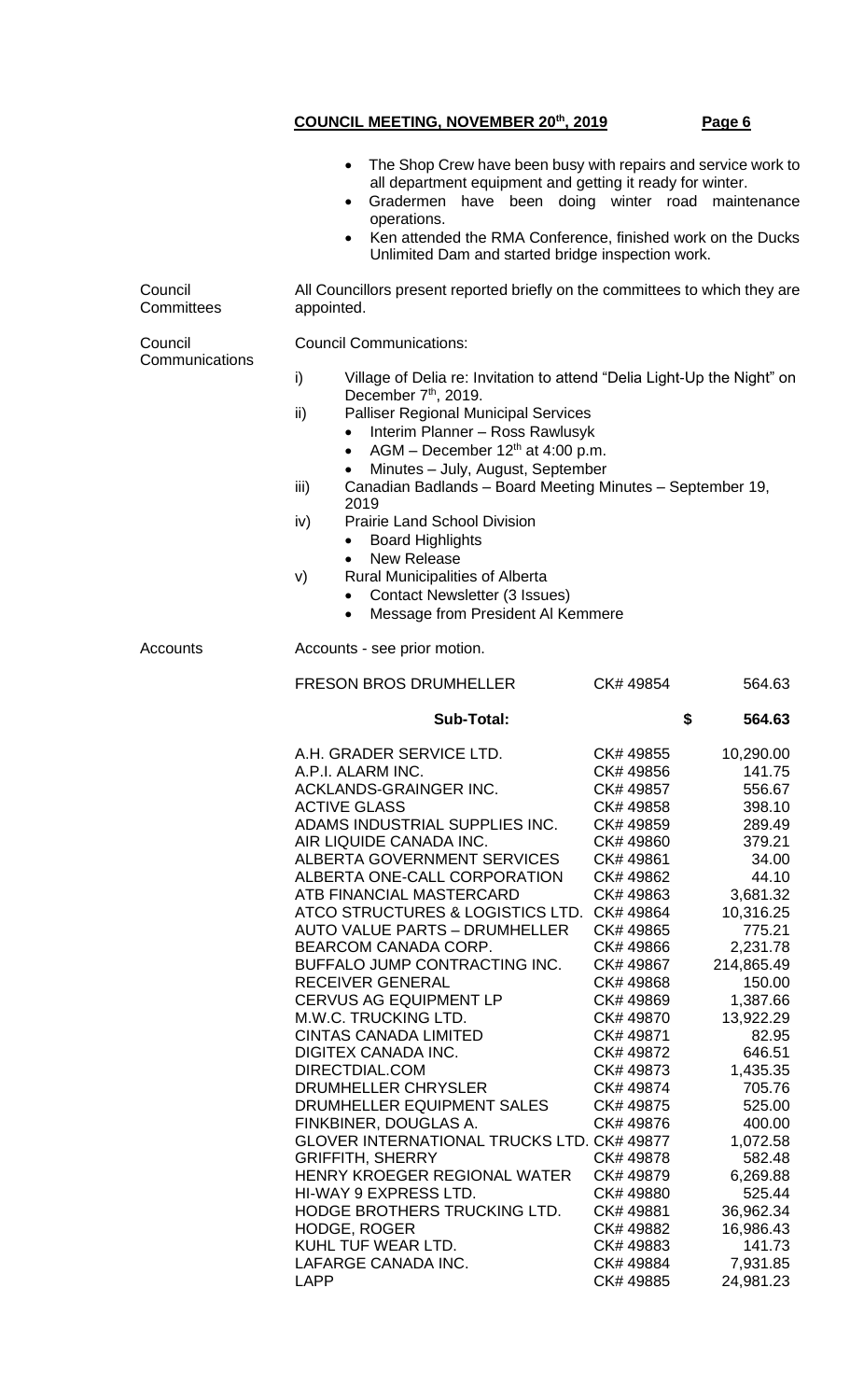|                           | $\bullet$                                                                                                         | The Shop Crew have been busy with repairs and service work to<br>all department equipment and getting it ready for winter.<br>Gradermen have been doing winter road maintenance<br>operations.<br>Ken attended the RMA Conference, finished work on the Ducks<br>Unlimited Dam and started bridge inspection work. |                        |                      |  |
|---------------------------|-------------------------------------------------------------------------------------------------------------------|--------------------------------------------------------------------------------------------------------------------------------------------------------------------------------------------------------------------------------------------------------------------------------------------------------------------|------------------------|----------------------|--|
| Council<br>Committees     | All Councillors present reported briefly on the committees to which they are<br>appointed.                        |                                                                                                                                                                                                                                                                                                                    |                        |                      |  |
| Council<br>Communications | <b>Council Communications:</b>                                                                                    |                                                                                                                                                                                                                                                                                                                    |                        |                      |  |
|                           | i)<br>Village of Delia re: Invitation to attend "Delia Light-Up the Night" on<br>December 7 <sup>th</sup> , 2019. |                                                                                                                                                                                                                                                                                                                    |                        |                      |  |
|                           | ii)<br>$\bullet$                                                                                                  | <b>Palliser Regional Municipal Services</b><br>Interim Planner - Ross Rawlusyk                                                                                                                                                                                                                                     |                        |                      |  |
|                           | $\bullet$<br>iii)                                                                                                 | AGM – December $12th$ at 4:00 p.m.<br>Minutes - July, August, September                                                                                                                                                                                                                                            |                        |                      |  |
|                           | 2019<br>iv)                                                                                                       | Canadian Badlands - Board Meeting Minutes - September 19,<br><b>Prairie Land School Division</b>                                                                                                                                                                                                                   |                        |                      |  |
|                           | $\bullet$                                                                                                         | <b>Board Highlights</b><br><b>New Release</b>                                                                                                                                                                                                                                                                      |                        |                      |  |
|                           | V)<br>$\bullet$                                                                                                   | Rural Municipalities of Alberta<br><b>Contact Newsletter (3 Issues)</b><br>Message from President Al Kemmere                                                                                                                                                                                                       |                        |                      |  |
| Accounts                  | Accounts - see prior motion.                                                                                      |                                                                                                                                                                                                                                                                                                                    |                        |                      |  |
|                           |                                                                                                                   | <b>FRESON BROS DRUMHELLER</b>                                                                                                                                                                                                                                                                                      | CK# 49854              | 564.63               |  |
|                           | <b>Sub-Total:</b>                                                                                                 |                                                                                                                                                                                                                                                                                                                    | \$                     | 564.63               |  |
|                           | A.H. GRADER SERVICE LTD.<br>A.P.I. ALARM INC.<br>ACKLANDS-GRAINGER INC.<br><b>ACTIVE GLASS</b>                    |                                                                                                                                                                                                                                                                                                                    | CK# 49855<br>CK# 49856 | 10,290.00<br>141.75  |  |
|                           |                                                                                                                   |                                                                                                                                                                                                                                                                                                                    | CK# 49857<br>CK# 49858 | 556.67<br>398.10     |  |
|                           | ADAMS INDUSTRIAL SUPPLIES INC.<br>AIR LIQUIDE CANADA INC.                                                         |                                                                                                                                                                                                                                                                                                                    | CK# 49859<br>CK# 49860 | 289.49<br>379.21     |  |
|                           |                                                                                                                   | ALBERTA GOVERNMENT SERVICES                                                                                                                                                                                                                                                                                        | CK# 49861              | 34.00                |  |
|                           |                                                                                                                   | ALBERTA ONE-CALL CORPORATION<br>ATB FINANCIAL MASTERCARD                                                                                                                                                                                                                                                           | CK# 49862<br>CK# 49863 | 44.10<br>3,681.32    |  |
|                           |                                                                                                                   | ATCO STRUCTURES & LOGISTICS LTD. CK# 49864                                                                                                                                                                                                                                                                         |                        | 10,316.25            |  |
|                           |                                                                                                                   | <b>AUTO VALUE PARTS - DRUMHELLER</b>                                                                                                                                                                                                                                                                               | CK# 49865              | 775.21               |  |
|                           | BEARCOM CANADA CORP.                                                                                              |                                                                                                                                                                                                                                                                                                                    | CK# 49866              | 2,231.78             |  |
|                           | <b>RECEIVER GENERAL</b>                                                                                           | BUFFALO JUMP CONTRACTING INC.                                                                                                                                                                                                                                                                                      | CK# 49867<br>CK# 49868 | 214,865.49<br>150.00 |  |
|                           | CERVUS AG EQUIPMENT LP                                                                                            |                                                                                                                                                                                                                                                                                                                    | CK# 49869              | 1,387.66             |  |
|                           | M.W.C. TRUCKING LTD.                                                                                              |                                                                                                                                                                                                                                                                                                                    | CK# 49870              | 13,922.29            |  |
|                           | CINTAS CANADA LIMITED                                                                                             |                                                                                                                                                                                                                                                                                                                    | CK# 49871              | 82.95                |  |
|                           | DIGITEX CANADA INC.<br>DIRECTDIAL.COM                                                                             |                                                                                                                                                                                                                                                                                                                    | CK# 49872<br>CK# 49873 | 646.51<br>1,435.35   |  |
|                           | DRUMHELLER CHRYSLER                                                                                               |                                                                                                                                                                                                                                                                                                                    | CK# 49874              | 705.76               |  |
|                           |                                                                                                                   | DRUMHELLER EQUIPMENT SALES                                                                                                                                                                                                                                                                                         | CK# 49875              | 525.00               |  |
|                           | FINKBINER, DOUGLAS A.                                                                                             |                                                                                                                                                                                                                                                                                                                    | CK# 49876              | 400.00               |  |
|                           | <b>GRIFFITH, SHERRY</b>                                                                                           | GLOVER INTERNATIONAL TRUCKS LTD. CK# 49877                                                                                                                                                                                                                                                                         | CK# 49878              | 1,072.58<br>582.48   |  |
|                           |                                                                                                                   | HENRY KROEGER REGIONAL WATER                                                                                                                                                                                                                                                                                       | CK# 49879              | 6,269.88             |  |
|                           | HI-WAY 9 EXPRESS LTD.                                                                                             |                                                                                                                                                                                                                                                                                                                    | CK# 49880              | 525.44               |  |
|                           |                                                                                                                   | HODGE BROTHERS TRUCKING LTD.                                                                                                                                                                                                                                                                                       | CK# 49881              | 36,962.34            |  |
|                           | <b>HODGE, ROGER</b><br>KUHL TUF WEAR LTD.                                                                         |                                                                                                                                                                                                                                                                                                                    | CK# 49882<br>CK# 49883 | 16,986.43<br>141.73  |  |
|                           | LAFARGE CANADA INC.                                                                                               |                                                                                                                                                                                                                                                                                                                    | CK# 49884              | 7,931.85             |  |
|                           | <b>LAPP</b>                                                                                                       |                                                                                                                                                                                                                                                                                                                    | CK# 49885              | 24,981.23            |  |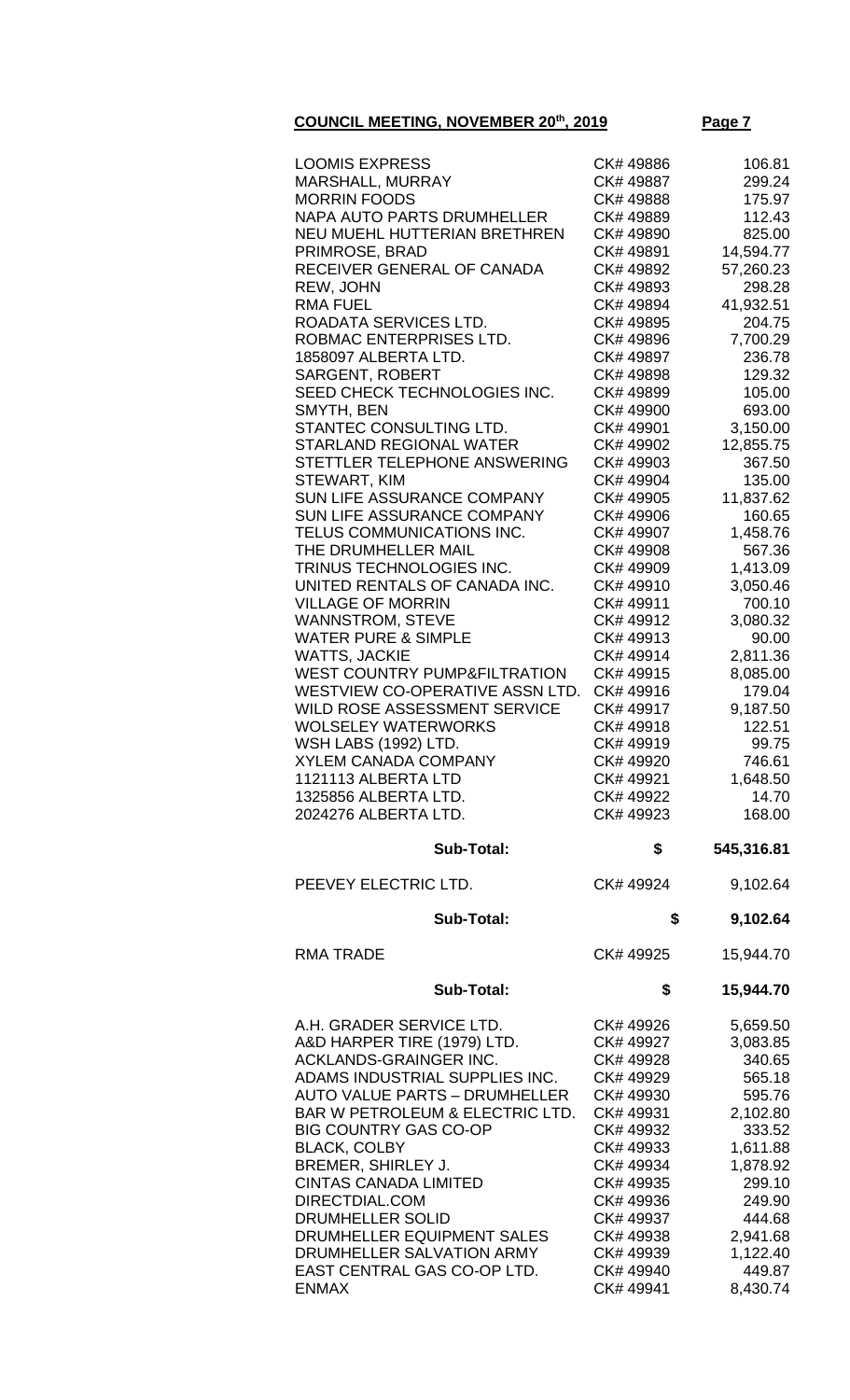## **COUNCIL MEETING, NOVEMBER 20<sup>th</sup>, 2019 Page**

|--|--|

| <b>LOOMIS EXPRESS</b>                       | CK# 49886              | 106.81             |
|---------------------------------------------|------------------------|--------------------|
|                                             | CK# 49887              |                    |
| <b>MARSHALL, MURRAY</b>                     |                        | 299.24             |
| <b>MORRIN FOODS</b>                         | CK# 49888              | 175.97             |
| <b>NAPA AUTO PARTS DRUMHELLER</b>           | CK# 49889              | 112.43             |
| NEU MUEHL HUTTERIAN BRETHREN                | CK# 49890              | 825.00             |
| PRIMROSE, BRAD                              | CK# 49891              | 14,594.77          |
| RECEIVER GENERAL OF CANADA                  | CK# 49892              | 57,260.23          |
| REW, JOHN                                   | CK# 49893              | 298.28             |
| <b>RMA FUEL</b>                             | CK# 49894              | 41,932.51          |
|                                             |                        |                    |
| ROADATA SERVICES LTD.                       | CK# 49895              | 204.75             |
| ROBMAC ENTERPRISES LTD.                     | CK# 49896              | 7,700.29           |
| 1858097 ALBERTA LTD.                        | CK# 49897              | 236.78             |
| <b>SARGENT, ROBERT</b>                      | CK# 49898              | 129.32             |
| SEED CHECK TECHNOLOGIES INC.                | CK# 49899              | 105.00             |
| SMYTH, BEN                                  | CK# 49900              | 693.00             |
| STANTEC CONSULTING LTD.                     | CK# 49901              | 3,150.00           |
| <b>STARLAND REGIONAL WATER</b>              | CK# 49902              | 12,855.75          |
| STETTLER TELEPHONE ANSWERING                | CK# 49903              | 367.50             |
| STEWART, KIM                                | CK# 49904              | 135.00             |
|                                             |                        |                    |
| SUN LIFE ASSURANCE COMPANY                  | CK# 49905              | 11,837.62          |
| SUN LIFE ASSURANCE COMPANY                  | CK# 49906              | 160.65             |
| TELUS COMMUNICATIONS INC.                   | CK# 49907              | 1,458.76           |
| THE DRUMHELLER MAIL                         | CK# 49908              | 567.36             |
| TRINUS TECHNOLOGIES INC.                    | CK# 49909              | 1,413.09           |
| UNITED RENTALS OF CANADA INC.               | CK# 49910              | 3,050.46           |
| <b>VILLAGE OF MORRIN</b>                    | CK# 49911              | 700.10             |
| <b>WANNSTROM, STEVE</b>                     | CK# 49912              | 3,080.32           |
| <b>WATER PURE &amp; SIMPLE</b>              | CK# 49913              |                    |
|                                             |                        | 90.00              |
| <b>WATTS, JACKIE</b>                        | CK# 49914              | 2,811.36           |
| <b>WEST COUNTRY PUMP&amp;FILTRATION</b>     | CK# 49915              | 8,085.00           |
| WESTVIEW CO-OPERATIVE ASSN LTD.             | CK# 49916              | 179.04             |
| WILD ROSE ASSESSMENT SERVICE                | CK# 49917              | 9,187.50           |
| <b>WOLSELEY WATERWORKS</b>                  | CK# 49918              | 122.51             |
| WSH LABS (1992) LTD.                        | CK# 49919              | 99.75              |
| <b>XYLEM CANADA COMPANY</b>                 | CK#49920               | 746.61             |
| 1121113 ALBERTA LTD                         | CK# 49921              | 1,648.50           |
| 1325856 ALBERTA LTD.                        | CK# 49922              | 14.70              |
|                                             |                        |                    |
| 2024276 ALBERTA LTD.                        | CK# 49923              | 168.00             |
| <b>Sub-Total:</b>                           | \$                     | 545,316.81         |
| PEEVEY ELECTRIC LTD.                        | CK# 49924              | 9,102.64           |
| Sub-Total:                                  | \$                     | 9,102.64           |
|                                             |                        |                    |
| <b>RMA TRADE</b>                            | CK# 49925              | 15,944.70          |
| <b>Sub-Total:</b>                           | \$                     | 15,944.70          |
|                                             |                        |                    |
|                                             |                        |                    |
| A.H. GRADER SERVICE LTD.                    | CK# 49926              | 5,659.50           |
| A&D HARPER TIRE (1979) LTD.                 | CK# 49927              | 3,083.85           |
| ACKLANDS-GRAINGER INC.                      | CK# 49928              | 340.65             |
| ADAMS INDUSTRIAL SUPPLIES INC.              | CK# 49929              | 565.18             |
| <b>AUTO VALUE PARTS - DRUMHELLER</b>        | CK# 49930              | 595.76             |
| BAR W PETROLEUM & ELECTRIC LTD.             | CK# 49931              | 2,102.80           |
| <b>BIG COUNTRY GAS CO-OP</b>                | CK# 49932              | 333.52             |
| <b>BLACK, COLBY</b>                         | CK# 49933              | 1,611.88           |
| BREMER, SHIRLEY J.                          | CK# 49934              |                    |
|                                             |                        | 1,878.92           |
| <b>CINTAS CANADA LIMITED</b>                | CK# 49935              | 299.10             |
| DIRECTDIAL.COM                              | CK# 49936              | 249.90             |
| DRUMHELLER SOLID                            | CK# 49937              | 444.68             |
| DRUMHELLER EQUIPMENT SALES                  | CK# 49938              | 2,941.68           |
| DRUMHELLER SALVATION ARMY                   | CK# 49939              | 1,122.40           |
| EAST CENTRAL GAS CO-OP LTD.<br><b>ENMAX</b> | CK# 49940<br>CK# 49941 | 449.87<br>8,430.74 |